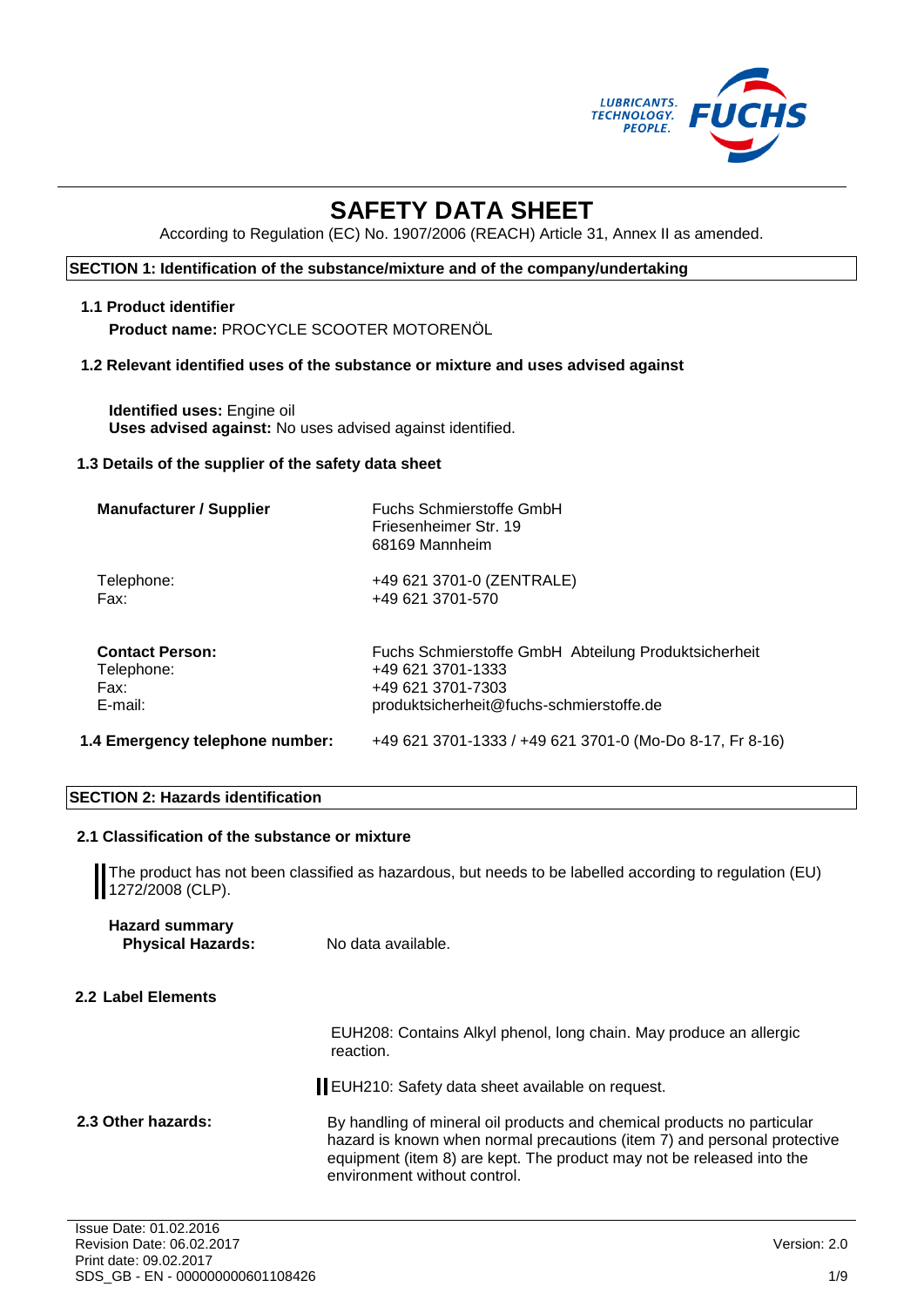

# **SAFETY DATA SHEET**

According to Regulation (EC) No. 1907/2006 (REACH) Article 31, Annex II as amended.

#### **SECTION 1: Identification of the substance/mixture and of the company/undertaking**

#### **1.1 Product identifier**

**Product name:** PROCYCLE SCOOTER MOTORENÖL

#### **1.2 Relevant identified uses of the substance or mixture and uses advised against**

**Identified uses:** Engine oil **Uses advised against:** No uses advised against identified.

#### **1.3 Details of the supplier of the safety data sheet**

| <b>Manufacturer / Supplier</b>  | Fuchs Schmierstoffe GmbH<br>Friesenheimer Str. 19<br>68169 Mannheim |
|---------------------------------|---------------------------------------------------------------------|
| Telephone:                      | +49 621 3701-0 (ZENTRALE)                                           |
| Fax:                            | +49 621 3701-570                                                    |
| <b>Contact Person:</b>          | Fuchs Schmierstoffe GmbH Abteilung Produktsicherheit                |
| Telephone:                      | +49 621 3701-1333                                                   |
| Fax:                            | +49 621 3701-7303                                                   |
| E-mail:                         | produktsicherheit@fuchs-schmierstoffe.de                            |
| 1.4 Emergency telephone number: | +49 621 3701-1333 / +49 621 3701-0 (Mo-Do 8-17, Fr 8-16)            |

#### **SECTION 2: Hazards identification**

#### **2.1 Classification of the substance or mixture**

The product has not been classified as hazardous, but needs to be labelled according to regulation (EU) 1272/2008 (CLP).

| <b>Hazard summary</b>    |                    |
|--------------------------|--------------------|
| <b>Physical Hazards:</b> | No data available. |

#### **2.2 Label Elements**

EUH208: Contains Alkyl phenol, long chain. May produce an allergic reaction.

EUH210: Safety data sheet available on request.

2.3 Other hazards: **By handling of mineral oil products and chemical products no particular** hazard is known when normal precautions (item 7) and personal protective equipment (item 8) are kept. The product may not be released into the environment without control.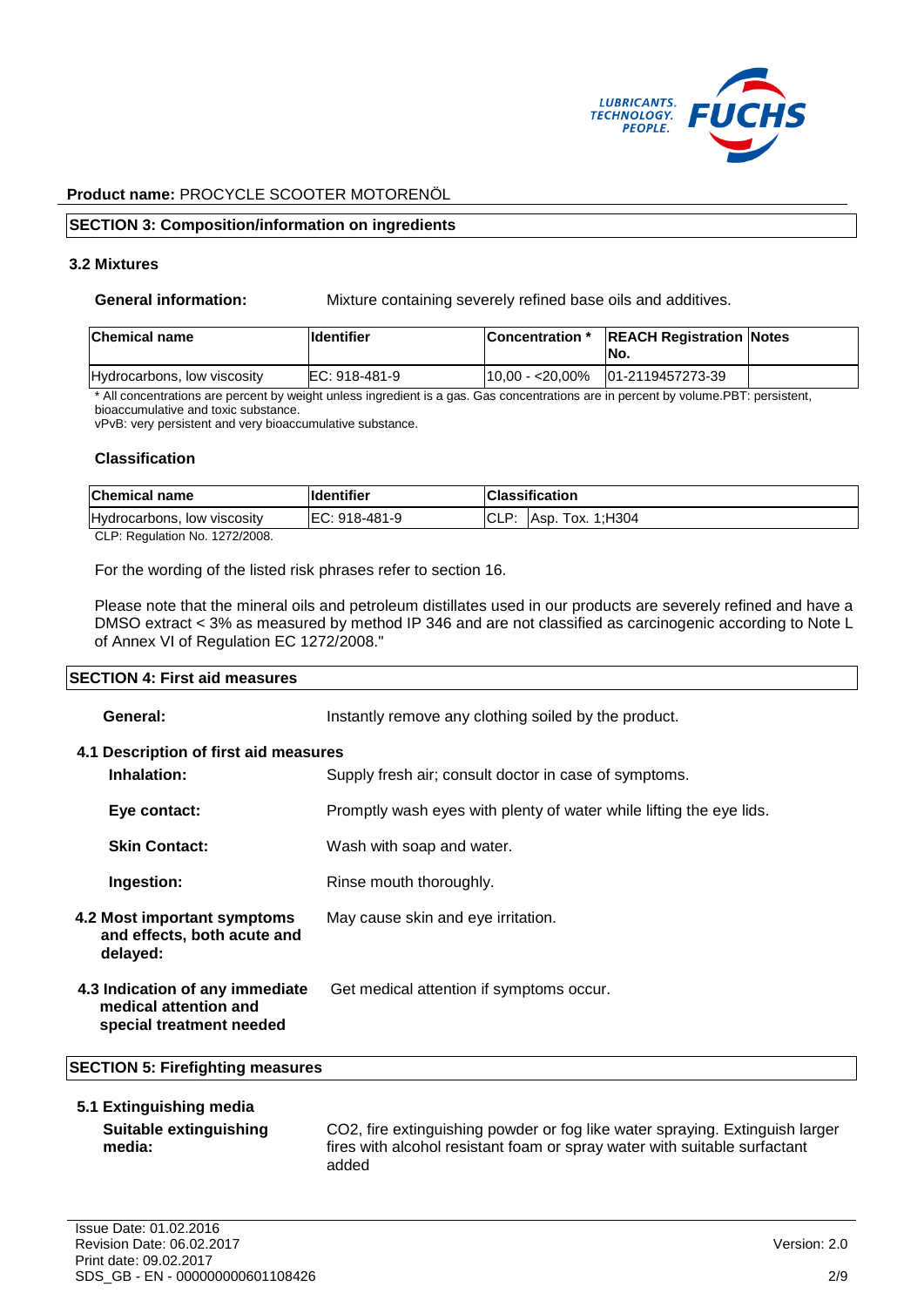

#### **SECTION 3: Composition/information on ingredients**

#### **3.2 Mixtures**

**General information:** Mixture containing severely refined base oils and additives.

| <b>Chemical name</b>        | lldentifier   | Concentration * REACH Registration Notes<br>INo. |  |
|-----------------------------|---------------|--------------------------------------------------|--|
| Hydrocarbons, low viscosity | EC: 918-481-9 | $110.00 - 20.00\%$ $101 - 2119457273 - 39$       |  |

\* All concentrations are percent by weight unless ingredient is a gas. Gas concentrations are in percent by volume.PBT: persistent, bioaccumulative and toxic substance.

vPvB: very persistent and very bioaccumulative substance.

#### **Classification**

| <b>Chemical name</b>           | lldentifier    |      | <b>IClassification</b> |
|--------------------------------|----------------|------|------------------------|
| Hydrocarbons, low viscosity    | IEC: 918-481-9 | CLP: | Asp. Tox. 1:H304       |
| CLP: Regulation No. 1272/2008. |                |      |                        |

For the wording of the listed risk phrases refer to section 16.

Please note that the mineral oils and petroleum distillates used in our products are severely refined and have a DMSO extract < 3% as measured by method IP 346 and are not classified as carcinogenic according to Note L of Annex VI of Regulation EC 1272/2008."

#### **SECTION 4: First aid measures**

| General:                                                                             | Instantly remove any clothing soiled by the product.                |
|--------------------------------------------------------------------------------------|---------------------------------------------------------------------|
| 4.1 Description of first aid measures<br>Inhalation:                                 | Supply fresh air; consult doctor in case of symptoms.               |
| Eye contact:                                                                         | Promptly wash eyes with plenty of water while lifting the eye lids. |
| <b>Skin Contact:</b>                                                                 | Wash with soap and water.                                           |
| Ingestion:                                                                           | Rinse mouth thoroughly.                                             |
| <b>4.2 Most important symptoms</b><br>and effects, both acute and<br>delayed:        | May cause skin and eye irritation.                                  |
| 4.3 Indication of any immediate<br>medical attention and<br>special treatment needed | Get medical attention if symptoms occur.                            |

#### **SECTION 5: Firefighting measures**

#### **5.1 Extinguishing media**

```
Suitable extinguishing 
media:
```
CO2, fire extinguishing powder or fog like water spraying. Extinguish larger fires with alcohol resistant foam or spray water with suitable surfactant added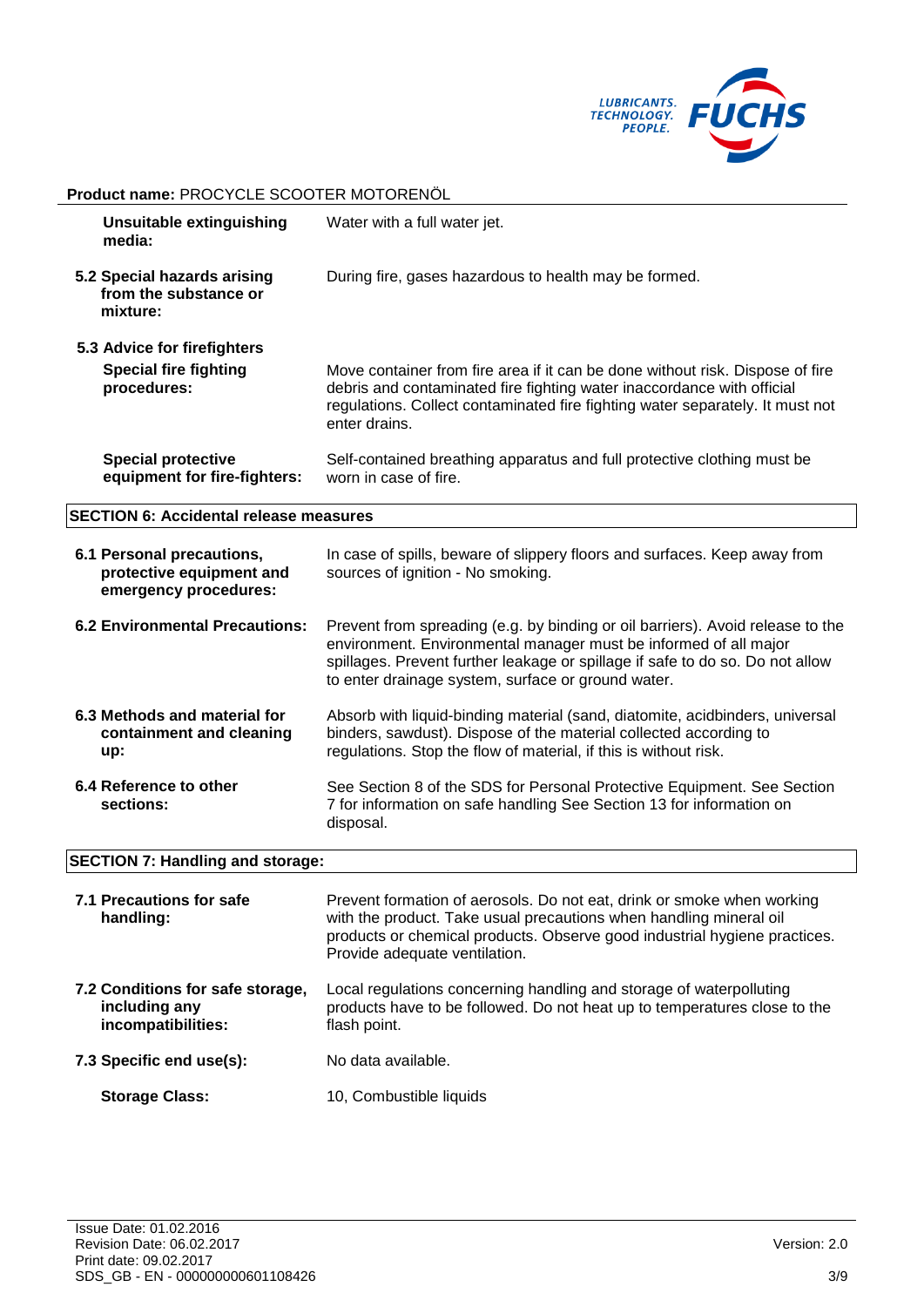

#### **Product name:** PROCYCLE SCOOTER MOTORENÖL **Unsuitable extinguishing media:** Water with a full water jet. **5.2 Special hazards arising from the substance or mixture:** During fire, gases hazardous to health may be formed. **5.3 Advice for firefighters Special fire fighting procedures:** Move container from fire area if it can be done without risk. Dispose of fire debris and contaminated fire fighting water inaccordance with official regulations. Collect contaminated fire fighting water separately. It must not enter drains. **Special protective equipment for fire-fighters:** Self-contained breathing apparatus and full protective clothing must be worn in case of fire. **SECTION 6: Accidental release measures 6.1 Personal precautions, protective equipment and emergency procedures:** In case of spills, beware of slippery floors and surfaces. Keep away from sources of ignition - No smoking. **6.2 Environmental Precautions:** Prevent from spreading (e.g. by binding or oil barriers). Avoid release to the environment. Environmental manager must be informed of all major spillages. Prevent further leakage or spillage if safe to do so. Do not allow to enter drainage system, surface or ground water. **6.3 Methods and material for containment and cleaning up:** Absorb with liquid-binding material (sand, diatomite, acidbinders, universal binders, sawdust). Dispose of the material collected according to regulations. Stop the flow of material, if this is without risk. **6.4 Reference to other sections:** See Section 8 of the SDS for Personal Protective Equipment. See Section 7 for information on safe handling See Section 13 for information on disposal. **SECTION 7: Handling and storage: 7.1 Precautions for safe**  Prevent formation of aerosols. Do not eat, drink or smoke when working

| handling:                                                               | with the product. Take usual precautions when handling mineral oil<br>products or chemical products. Observe good industrial hygiene practices.<br>Provide adequate ventilation. |
|-------------------------------------------------------------------------|----------------------------------------------------------------------------------------------------------------------------------------------------------------------------------|
| 7.2 Conditions for safe storage,<br>including any<br>incompatibilities: | Local regulations concerning handling and storage of waterpolluting<br>products have to be followed. Do not heat up to temperatures close to the<br>flash point.                 |
| 7.3 Specific end use(s):                                                | No data available.                                                                                                                                                               |
| <b>Storage Class:</b>                                                   | 10, Combustible liquids                                                                                                                                                          |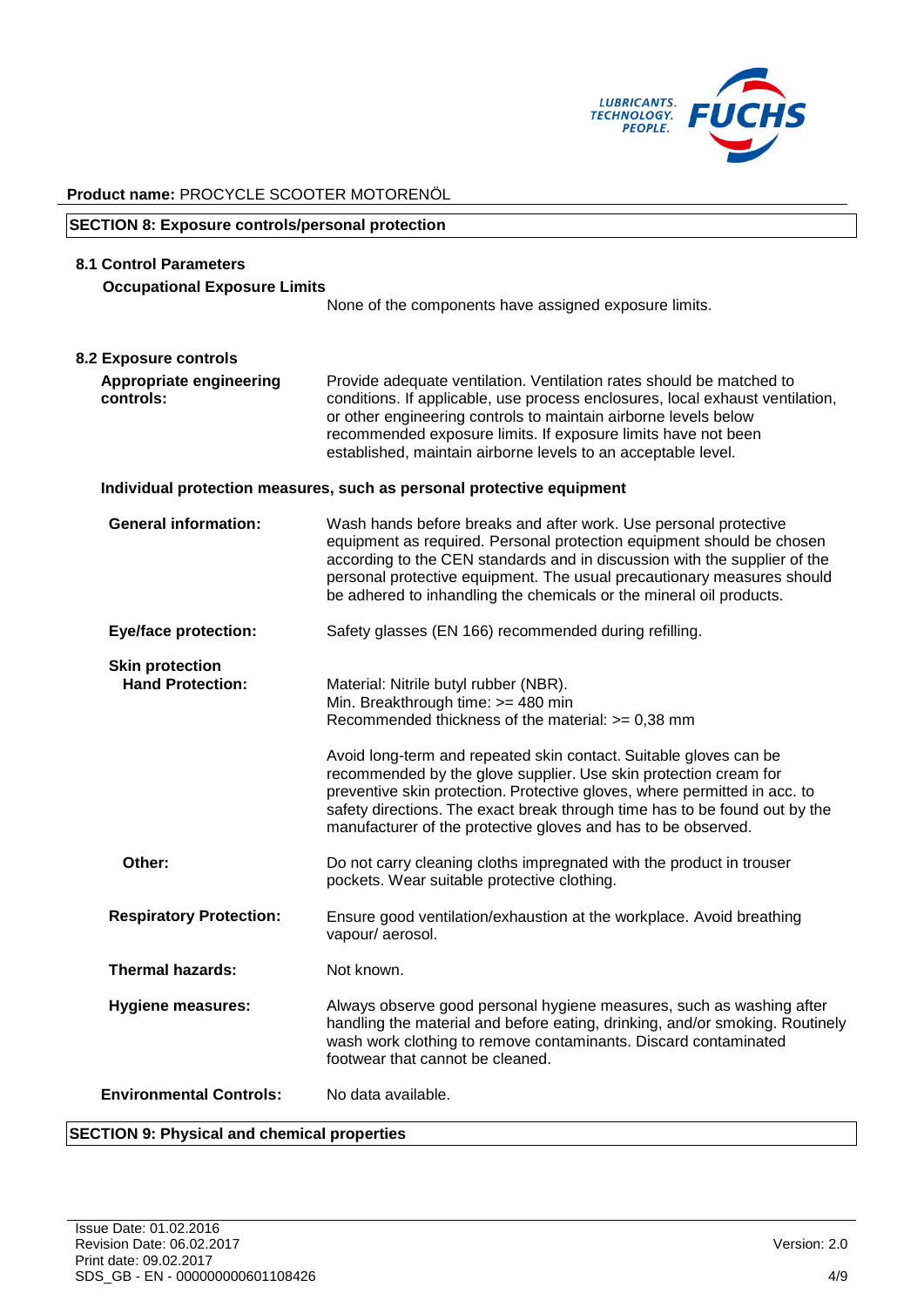

# **SECTION 8: Exposure controls/personal protection 8.1 Control Parameters Occupational Exposure Limits** None of the components have assigned exposure limits. **8.2 Exposure controls Appropriate engineering controls:** Provide adequate ventilation. Ventilation rates should be matched to conditions. If applicable, use process enclosures, local exhaust ventilation, or other engineering controls to maintain airborne levels below recommended exposure limits. If exposure limits have not been established, maintain airborne levels to an acceptable level. **Individual protection measures, such as personal protective equipment General information:** Wash hands before breaks and after work. Use personal protective equipment as required. Personal protection equipment should be chosen according to the CEN standards and in discussion with the supplier of the personal protective equipment. The usual precautionary measures should be adhered to inhandling the chemicals or the mineral oil products. **Eye/face protection:** Safety glasses (EN 166) recommended during refilling. **Skin protection Hand Protection:** Material: Nitrile butyl rubber (NBR). Min. Breakthrough time: >= 480 min Recommended thickness of the material: >= 0,38 mm Avoid long-term and repeated skin contact. Suitable gloves can be recommended by the glove supplier. Use skin protection cream for preventive skin protection. Protective gloves, where permitted in acc. to safety directions. The exact break through time has to be found out by the manufacturer of the protective gloves and has to be observed. **Other:** Do not carry cleaning cloths impregnated with the product in trouser pockets. Wear suitable protective clothing. **Respiratory Protection:** Ensure good ventilation/exhaustion at the workplace. Avoid breathing vapour/ aerosol. **Thermal hazards:** Not known. **Hygiene measures:** Always observe good personal hygiene measures, such as washing after handling the material and before eating, drinking, and/or smoking. Routinely wash work clothing to remove contaminants. Discard contaminated footwear that cannot be cleaned. **Environmental Controls:** No data available.

#### **SECTION 9: Physical and chemical properties**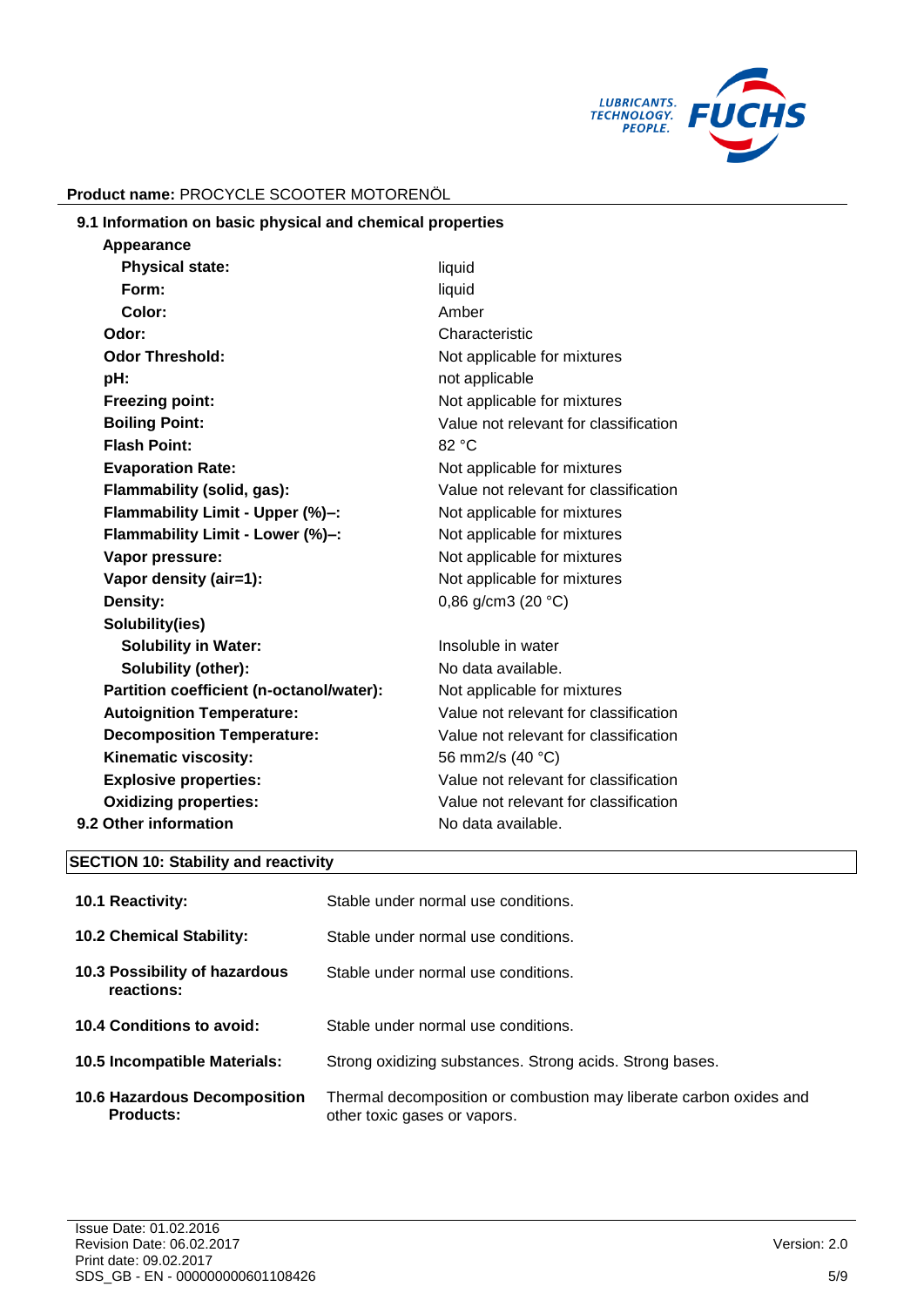

| 9.1 Information on basic physical and chemical properties |        |
|-----------------------------------------------------------|--------|
| Appearance                                                |        |
| <b>Physical state:</b>                                    | liauid |

| liquid                                |
|---------------------------------------|
| Amber                                 |
| Characteristic                        |
| Not applicable for mixtures           |
| not applicable                        |
| Not applicable for mixtures           |
| Value not relevant for classification |
| 82 °C                                 |
| Not applicable for mixtures           |
| Value not relevant for classification |
| Not applicable for mixtures           |
| Not applicable for mixtures           |
| Not applicable for mixtures           |
| Not applicable for mixtures           |
| 0,86 g/cm3 (20 $°C$ )                 |
|                                       |
| Insoluble in water                    |
| No data available.                    |
| Not applicable for mixtures           |
| Value not relevant for classification |
| Value not relevant for classification |
| 56 mm2/s (40 °C)                      |
| Value not relevant for classification |
| Value not relevant for classification |
| No data available.                    |
|                                       |

## **SECTION 10: Stability and reactivity**

| <b>10.1 Reactivity:</b>                                 | Stable under normal use conditions.                                                                |
|---------------------------------------------------------|----------------------------------------------------------------------------------------------------|
| <b>10.2 Chemical Stability:</b>                         | Stable under normal use conditions.                                                                |
| 10.3 Possibility of hazardous<br>reactions:             | Stable under normal use conditions.                                                                |
| 10.4 Conditions to avoid:                               | Stable under normal use conditions.                                                                |
| <b>10.5 Incompatible Materials:</b>                     | Strong oxidizing substances. Strong acids. Strong bases.                                           |
| <b>10.6 Hazardous Decomposition</b><br><b>Products:</b> | Thermal decomposition or combustion may liberate carbon oxides and<br>other toxic gases or vapors. |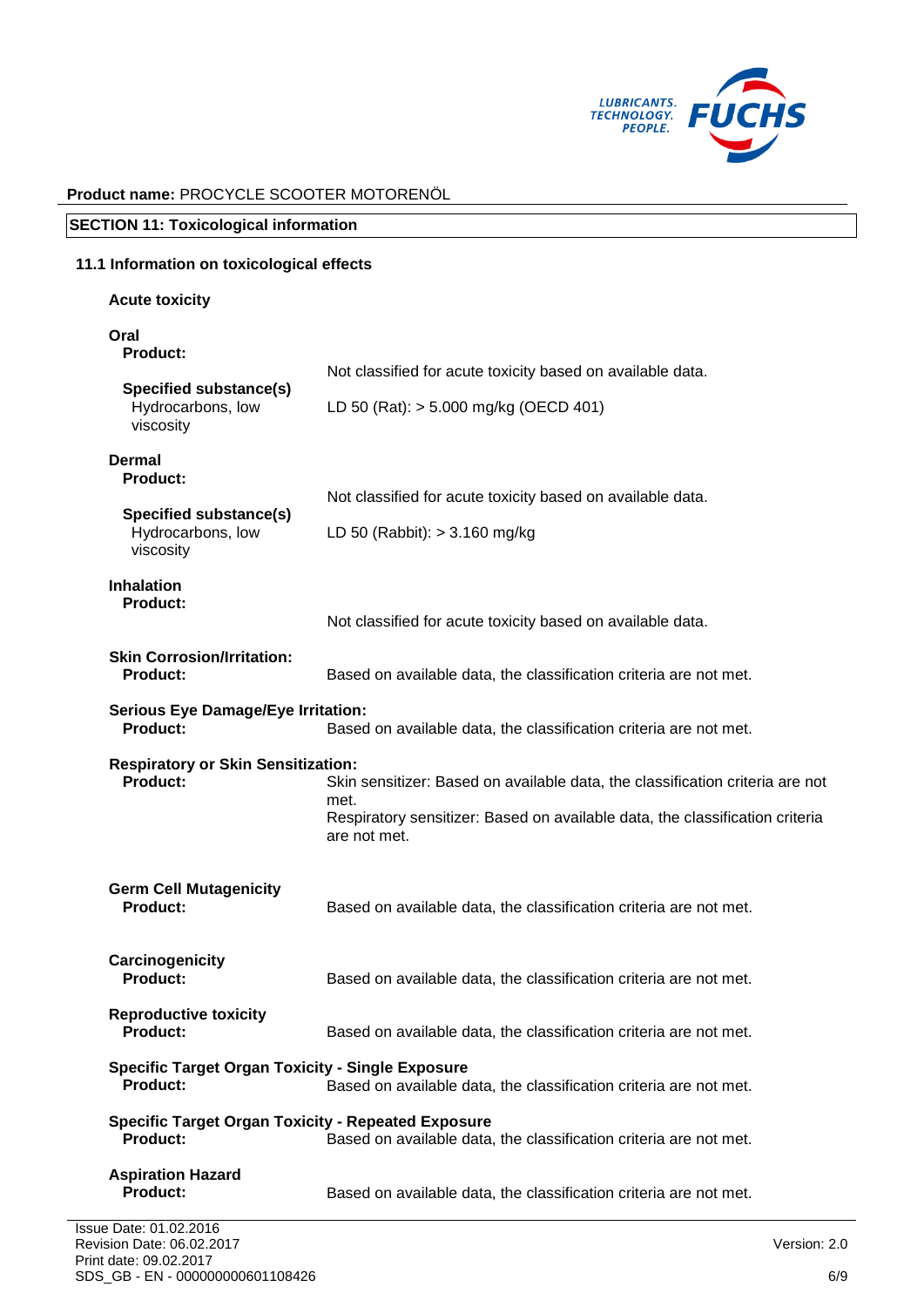

**SECTION 11: Toxicological information**

| 11.1 Information on toxicological effects                                       |                                                                                                                                                                                       |  |  |
|---------------------------------------------------------------------------------|---------------------------------------------------------------------------------------------------------------------------------------------------------------------------------------|--|--|
| <b>Acute toxicity</b>                                                           |                                                                                                                                                                                       |  |  |
| Oral<br>Product:                                                                |                                                                                                                                                                                       |  |  |
| <b>Specified substance(s)</b><br>Hydrocarbons, low<br>viscosity                 | Not classified for acute toxicity based on available data.<br>LD 50 (Rat): > 5.000 mg/kg (OECD 401)                                                                                   |  |  |
| Dermal<br><b>Product:</b><br><b>Specified substance(s)</b><br>Hydrocarbons, low | Not classified for acute toxicity based on available data.<br>LD 50 (Rabbit): $> 3.160$ mg/kg                                                                                         |  |  |
| viscosity<br><b>Inhalation</b><br>Product:                                      | Not classified for acute toxicity based on available data.                                                                                                                            |  |  |
| <b>Skin Corrosion/Irritation:</b><br><b>Product:</b>                            | Based on available data, the classification criteria are not met.                                                                                                                     |  |  |
| <b>Serious Eye Damage/Eye Irritation:</b><br><b>Product:</b>                    | Based on available data, the classification criteria are not met.                                                                                                                     |  |  |
| <b>Respiratory or Skin Sensitization:</b><br><b>Product:</b>                    | Skin sensitizer: Based on available data, the classification criteria are not<br>met.<br>Respiratory sensitizer: Based on available data, the classification criteria<br>are not met. |  |  |
| <b>Germ Cell Mutagenicity</b><br><b>Product:</b>                                | Based on available data, the classification criteria are not met.                                                                                                                     |  |  |
| Carcinogenicity<br>Product:                                                     | Based on available data, the classification criteria are not met.                                                                                                                     |  |  |
| <b>Reproductive toxicity</b><br><b>Product:</b>                                 | Based on available data, the classification criteria are not met.                                                                                                                     |  |  |
| <b>Specific Target Organ Toxicity - Single Exposure</b><br><b>Product:</b>      | Based on available data, the classification criteria are not met.                                                                                                                     |  |  |
| <b>Specific Target Organ Toxicity - Repeated Exposure</b><br><b>Product:</b>    | Based on available data, the classification criteria are not met.                                                                                                                     |  |  |
| <b>Aspiration Hazard</b><br><b>Product:</b>                                     | Based on available data, the classification criteria are not met.                                                                                                                     |  |  |
| Issue Date: 01.02.2016                                                          |                                                                                                                                                                                       |  |  |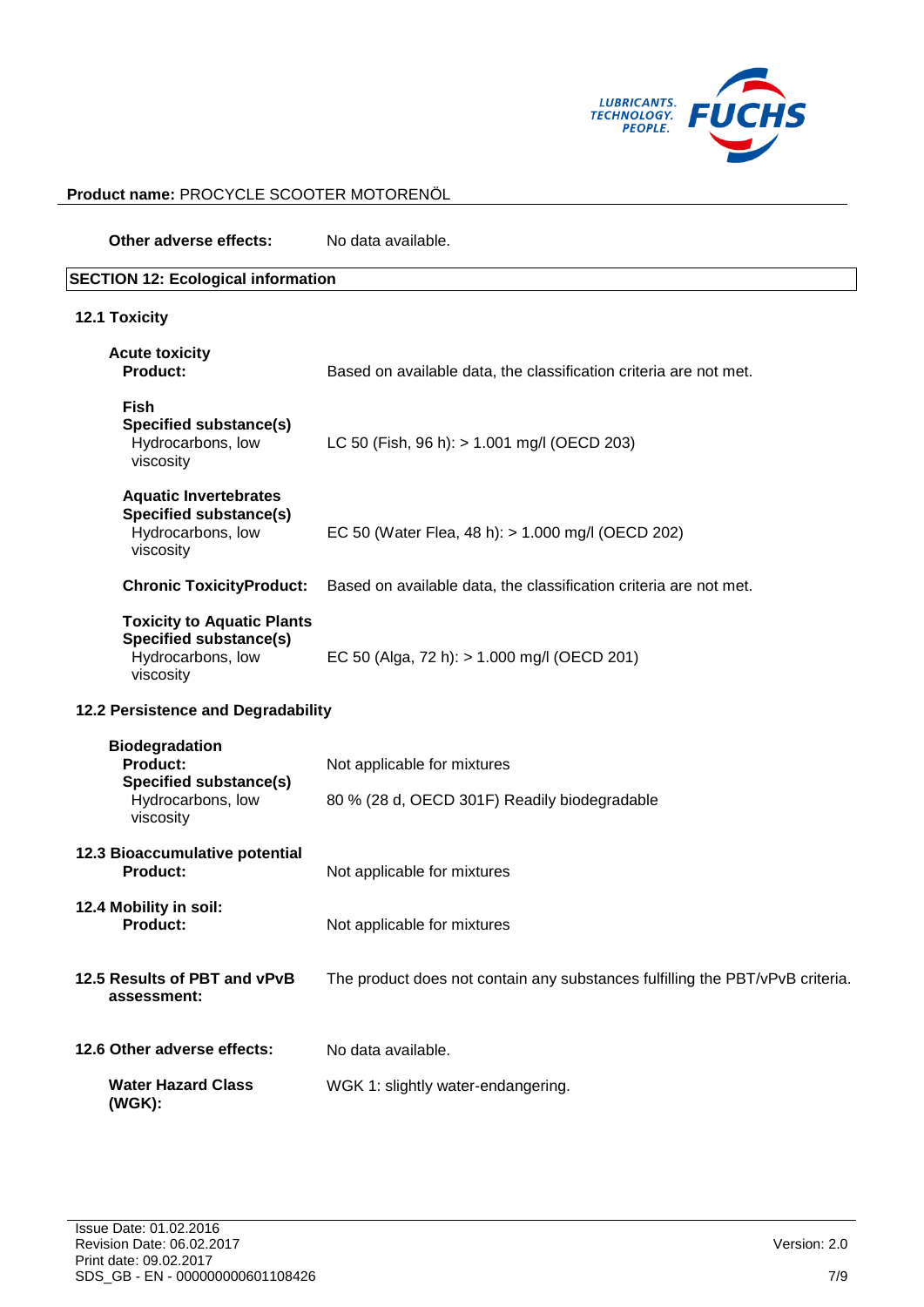

**Other adverse effects:** No data available.

| <b>SECTION 12: Ecological information</b>                                                                   |                                                                               |  |
|-------------------------------------------------------------------------------------------------------------|-------------------------------------------------------------------------------|--|
| <b>12.1 Toxicity</b>                                                                                        |                                                                               |  |
| <b>Acute toxicity</b><br><b>Product:</b>                                                                    | Based on available data, the classification criteria are not met.             |  |
| <b>Fish</b><br>Specified substance(s)<br>Hydrocarbons, low<br>viscosity                                     | LC 50 (Fish, 96 h): > 1.001 mg/l (OECD 203)                                   |  |
| <b>Aquatic Invertebrates</b><br><b>Specified substance(s)</b><br>Hydrocarbons, low<br>viscosity             | EC 50 (Water Flea, 48 h): > 1.000 mg/l (OECD 202)                             |  |
| <b>Chronic ToxicityProduct:</b>                                                                             | Based on available data, the classification criteria are not met.             |  |
| <b>Toxicity to Aquatic Plants</b><br><b>Specified substance(s)</b><br>Hydrocarbons, low<br>viscosity        | EC 50 (Alga, 72 h): > 1.000 mg/l (OECD 201)                                   |  |
| 12.2 Persistence and Degradability                                                                          |                                                                               |  |
| <b>Biodegradation</b><br><b>Product:</b><br><b>Specified substance(s)</b><br>Hydrocarbons, low<br>viscosity | Not applicable for mixtures<br>80 % (28 d, OECD 301F) Readily biodegradable   |  |
| 12.3 Bioaccumulative potential<br><b>Product:</b>                                                           | Not applicable for mixtures                                                   |  |
| 12.4 Mobility in soil:<br><b>Product:</b>                                                                   | Not applicable for mixtures                                                   |  |
| 12.5 Results of PBT and vPvB<br>assessment:                                                                 | The product does not contain any substances fulfilling the PBT/vPvB criteria. |  |
| 12.6 Other adverse effects:                                                                                 | No data available.                                                            |  |
| <b>Water Hazard Class</b><br>(WGK):                                                                         | WGK 1: slightly water-endangering.                                            |  |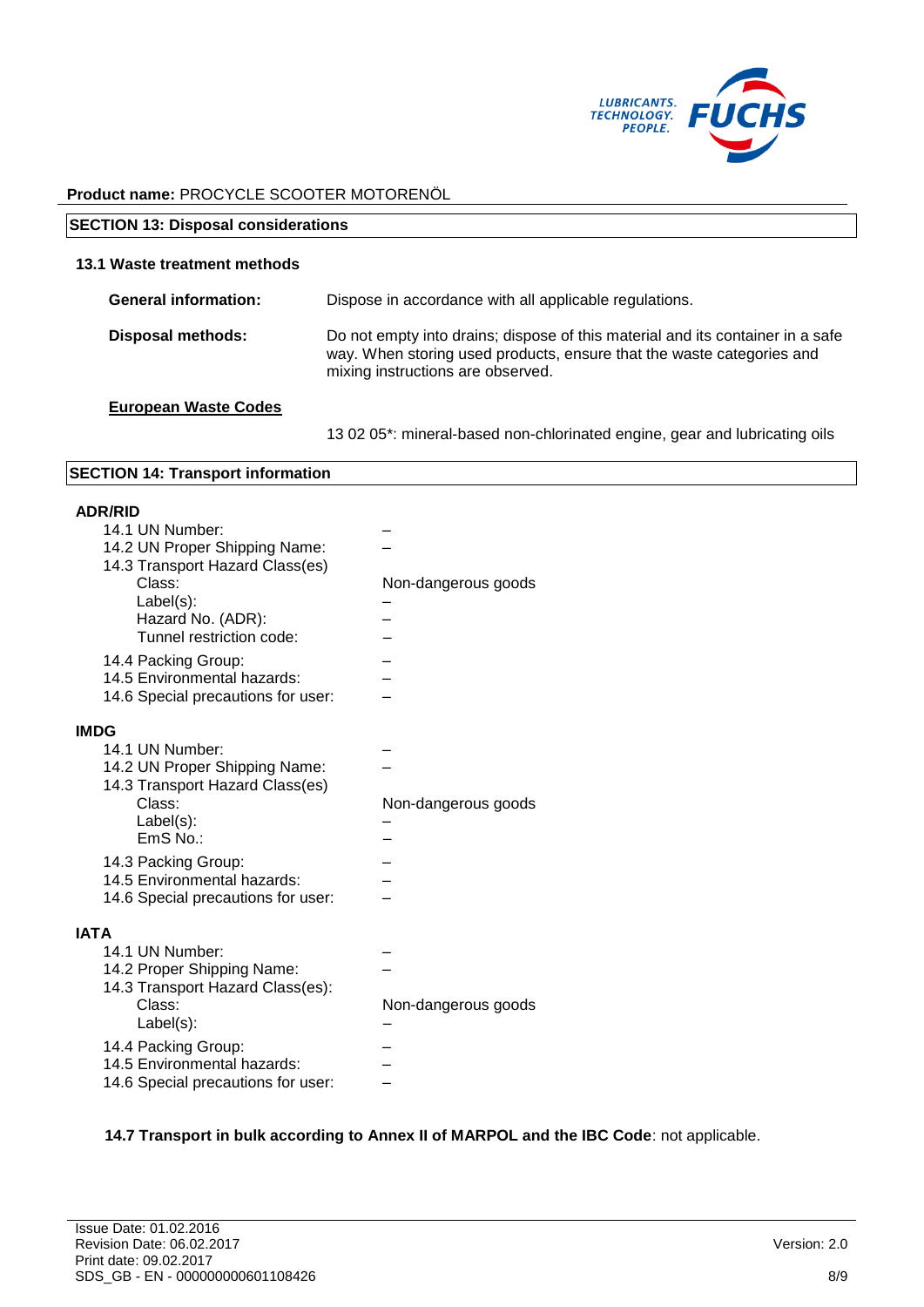

| <b>SECTION 13: Disposal considerations</b> |                                                                                                                                                                                              |  |
|--------------------------------------------|----------------------------------------------------------------------------------------------------------------------------------------------------------------------------------------------|--|
| 13.1 Waste treatment methods               |                                                                                                                                                                                              |  |
| <b>General information:</b>                | Dispose in accordance with all applicable regulations.                                                                                                                                       |  |
| <b>Disposal methods:</b>                   | Do not empty into drains; dispose of this material and its container in a safe<br>way. When storing used products, ensure that the waste categories and<br>mixing instructions are observed. |  |
| <b>European Waste Codes</b>                |                                                                                                                                                                                              |  |

13 02 05\*: mineral-based non-chlorinated engine, gear and lubricating oils

#### **SECTION 14: Transport information**

#### **ADR/RID**

| 14.1 UN Number:<br>14.2 UN Proper Shipping Name:<br>14.3 Transport Hazard Class(es)<br>Class:<br>Label(s):<br>Hazard No. (ADR):<br>Tunnel restriction code:<br>14.4 Packing Group:<br>14.5 Environmental hazards:<br>14.6 Special precautions for user: | Non-dangerous goods |
|---------------------------------------------------------------------------------------------------------------------------------------------------------------------------------------------------------------------------------------------------------|---------------------|
| <b>IMDG</b><br>14.1 UN Number:<br>14.2 UN Proper Shipping Name:<br>14.3 Transport Hazard Class(es)<br>Class:<br>Label(s):<br>$EmS$ No.:<br>14.3 Packing Group:<br>14.5 Environmental hazards:<br>14.6 Special precautions for user:                     | Non-dangerous goods |
| <b>IATA</b><br>14.1 UN Number:<br>14.2 Proper Shipping Name:<br>14.3 Transport Hazard Class(es):<br>Class:<br>Label(s):<br>14.4 Packing Group:<br>14.5 Environmental hazards:<br>14.6 Special precautions for user:                                     | Non-dangerous goods |

#### **14.7 Transport in bulk according to Annex II of MARPOL and the IBC Code**: not applicable.